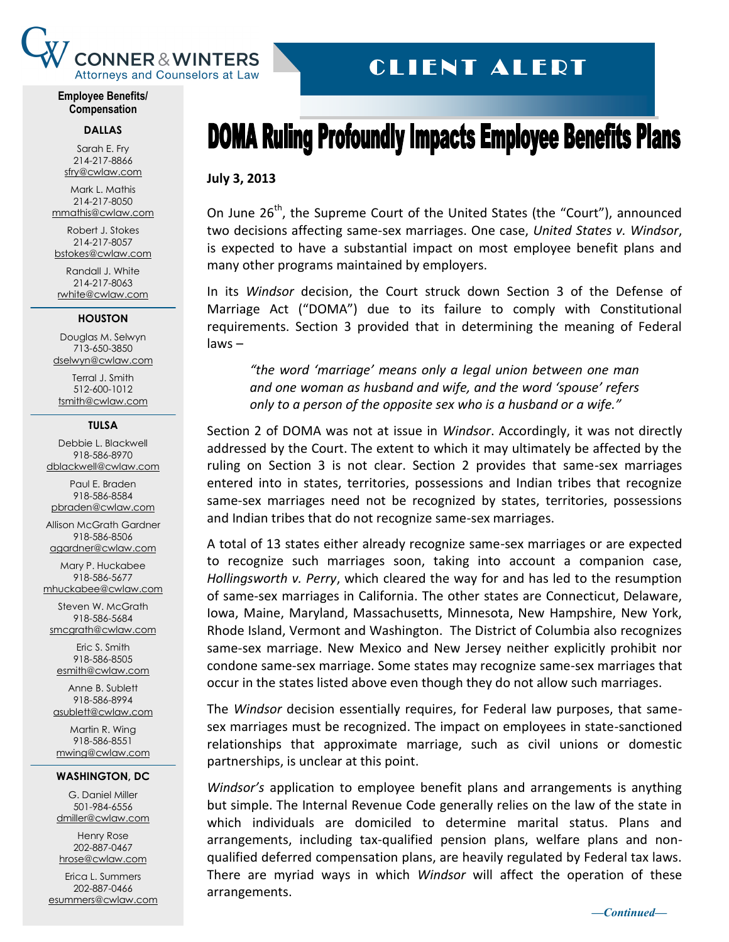

# CLIENT ALERT

**Employee Benefits/ Compensation**

#### **DALLAS**

Sarah E. Fry 214-217-8866 [sfry@cwlaw.com](mailto:sfry@cwlaw.com)

Mark L. Mathis 214-217-8050 [mmathis@cwlaw.com](mailto:mmathis@cwlaw.com)

Robert J. Stokes 214-217-8057 [bstokes@cwlaw.com](mailto:bstokes@cwlaw.com)

Randall J. White 214-217-8063 [rwhite@cwlaw.com](mailto:rwhite@cwlaw.com)

#### **HOUSTON**

Douglas M. Selwyn 713-650-3850 [dselwyn@cwlaw.com](mailto:dselwyn@cwlaw.com)

Terral J. Smith 512-600-1012 [tsmith@cwlaw.com](mailto:tsmith@cwlaw.com)

### **TULSA**

Debbie L. Blackwell 918-586-8970 [dblackwell@cwlaw.com](mailto:dblackwell@cwlaw.com)

Paul E. Braden 918-586-8584 [pbraden@cwlaw.com](mailto:pbraden@cwlaw.com)

Allison McGrath Gardner 918-586-8506

[agardner@cwlaw.com](mailto:agardner@cwlaw.com) Mary P. Huckabee

918-586-5677 [mhuckabee@cwlaw.com](mailto:mhuckabee@cwlaw.com)

Steven W. McGrath 918-586-5684

[smcgrath@cwlaw.com](mailto:smcgrath@cwlaw.com) Eric S. Smith

918-586-8505 [esmith@cwlaw.com](mailto:esmith@cwlaw.com)

Anne B. Sublett 918-586-8994 [asublett@cwlaw.com](mailto:asublett@cwlaw.com)

Martin R. Wing 918-586-8551 [mwing@cwlaw.com](mailto:mwing@cwlaw.com)

### **WASHINGTON, DC**

G. Daniel Miller 501-984-6556 [dmiller@cwlaw.com](mailto:dmiller@cwlaw.com)

Henry Rose 202-887-0467 [hrose@cwlaw.com](mailto:hrose@cwlaw.com)

Erica L. Summers 202-887-0466 [esummers@cwlaw.com](mailto:esummers@cwlaw.com)

# **DOMA Ruling Profoundly Impacts Employee Benefits Plans**

## **July 3, 2013**

On June  $26^{th}$ , the Supreme Court of the United States (the "Court"), announced two decisions affecting same-sex marriages. One case, *United States v. Windsor*, is expected to have a substantial impact on most employee benefit plans and many other programs maintained by employers.

In its *Windsor* decision, the Court struck down Section 3 of the Defense of Marriage Act ("DOMA") due to its failure to comply with Constitutional requirements. Section 3 provided that in determining the meaning of Federal laws –

*"the word 'marriage' means only a legal union between one man and one woman as husband and wife, and the word 'spouse' refers only to a person of the opposite sex who is a husband or a wife."*

Section 2 of DOMA was not at issue in *Windsor*. Accordingly, it was not directly addressed by the Court. The extent to which it may ultimately be affected by the ruling on Section 3 is not clear. Section 2 provides that same-sex marriages entered into in states, territories, possessions and Indian tribes that recognize same-sex marriages need not be recognized by states, territories, possessions and Indian tribes that do not recognize same-sex marriages.

A total of 13 states either already recognize same-sex marriages or are expected to recognize such marriages soon, taking into account a companion case, *Hollingsworth v. Perry*, which cleared the way for and has led to the resumption of same-sex marriages in California. The other states are Connecticut, Delaware, Iowa, Maine, Maryland, Massachusetts, Minnesota, New Hampshire, New York, Rhode Island, Vermont and Washington. The District of Columbia also recognizes same-sex marriage. New Mexico and New Jersey neither explicitly prohibit nor condone same-sex marriage. Some states may recognize same-sex marriages that occur in the states listed above even though they do not allow such marriages.

The *Windsor* decision essentially requires, for Federal law purposes, that samesex marriages must be recognized. The impact on employees in state-sanctioned relationships that approximate marriage, such as civil unions or domestic partnerships, is unclear at this point.

*Windsor's* application to employee benefit plans and arrangements is anything but simple. The Internal Revenue Code generally relies on the law of the state in which individuals are domiciled to determine marital status. Plans and arrangements, including tax-qualified pension plans, welfare plans and nonqualified deferred compensation plans, are heavily regulated by Federal tax laws. There are myriad ways in which *Windsor* will affect the operation of these arrangements.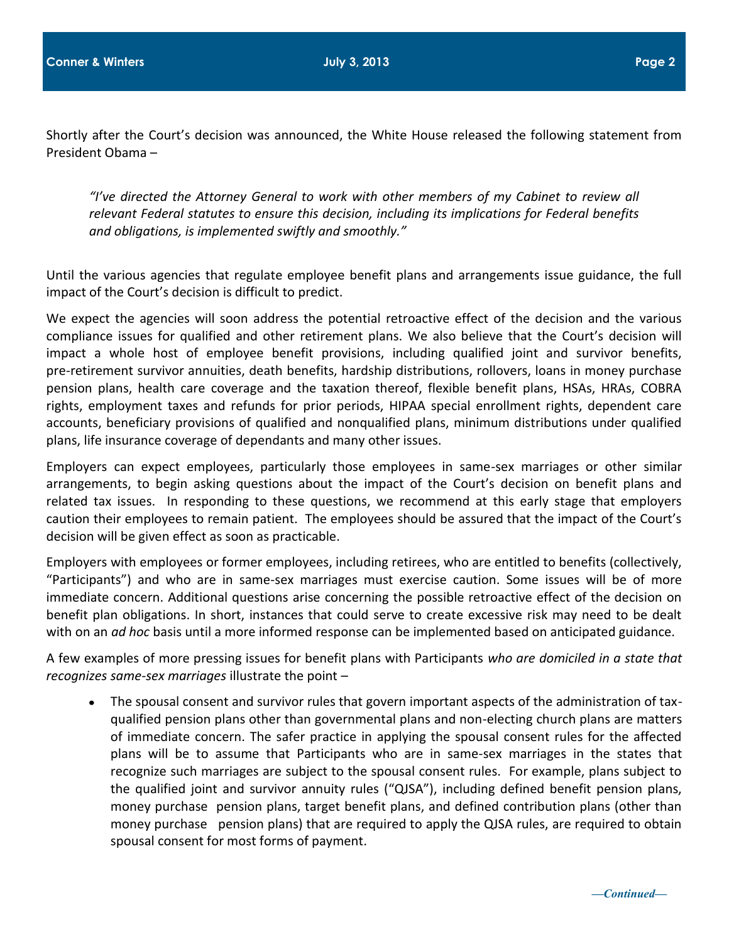Shortly after the Court's decision was announced, the White House released the following statement from President Obama –

*"I've directed the Attorney General to work with other members of my Cabinet to review all relevant Federal statutes to ensure this decision, including its implications for Federal benefits and obligations, is implemented swiftly and smoothly."*

Until the various agencies that regulate employee benefit plans and arrangements issue guidance, the full impact of the Court's decision is difficult to predict.

We expect the agencies will soon address the potential retroactive effect of the decision and the various compliance issues for qualified and other retirement plans. We also believe that the Court's decision will impact a whole host of employee benefit provisions, including qualified joint and survivor benefits, pre-retirement survivor annuities, death benefits, hardship distributions, rollovers, loans in money purchase pension plans, health care coverage and the taxation thereof, flexible benefit plans, HSAs, HRAs, COBRA rights, employment taxes and refunds for prior periods, HIPAA special enrollment rights, dependent care accounts, beneficiary provisions of qualified and nonqualified plans, minimum distributions under qualified plans, life insurance coverage of dependants and many other issues.

Employers can expect employees, particularly those employees in same-sex marriages or other similar arrangements, to begin asking questions about the impact of the Court's decision on benefit plans and related tax issues. In responding to these questions, we recommend at this early stage that employers caution their employees to remain patient. The employees should be assured that the impact of the Court's decision will be given effect as soon as practicable.

Employers with employees or former employees, including retirees, who are entitled to benefits (collectively, "Participants") and who are in same-sex marriages must exercise caution. Some issues will be of more immediate concern. Additional questions arise concerning the possible retroactive effect of the decision on benefit plan obligations. In short, instances that could serve to create excessive risk may need to be dealt with on an *ad hoc* basis until a more informed response can be implemented based on anticipated guidance.

A few examples of more pressing issues for benefit plans with Participants *who are domiciled in a state that recognizes same-sex marriages* illustrate the point –

The spousal consent and survivor rules that govern important aspects of the administration of taxqualified pension plans other than governmental plans and non-electing church plans are matters of immediate concern. The safer practice in applying the spousal consent rules for the affected plans will be to assume that Participants who are in same-sex marriages in the states that recognize such marriages are subject to the spousal consent rules. For example, plans subject to the qualified joint and survivor annuity rules ("QJSA"), including defined benefit pension plans, money purchase pension plans, target benefit plans, and defined contribution plans (other than money purchase pension plans) that are required to apply the QJSA rules, are required to obtain spousal consent for most forms of payment.